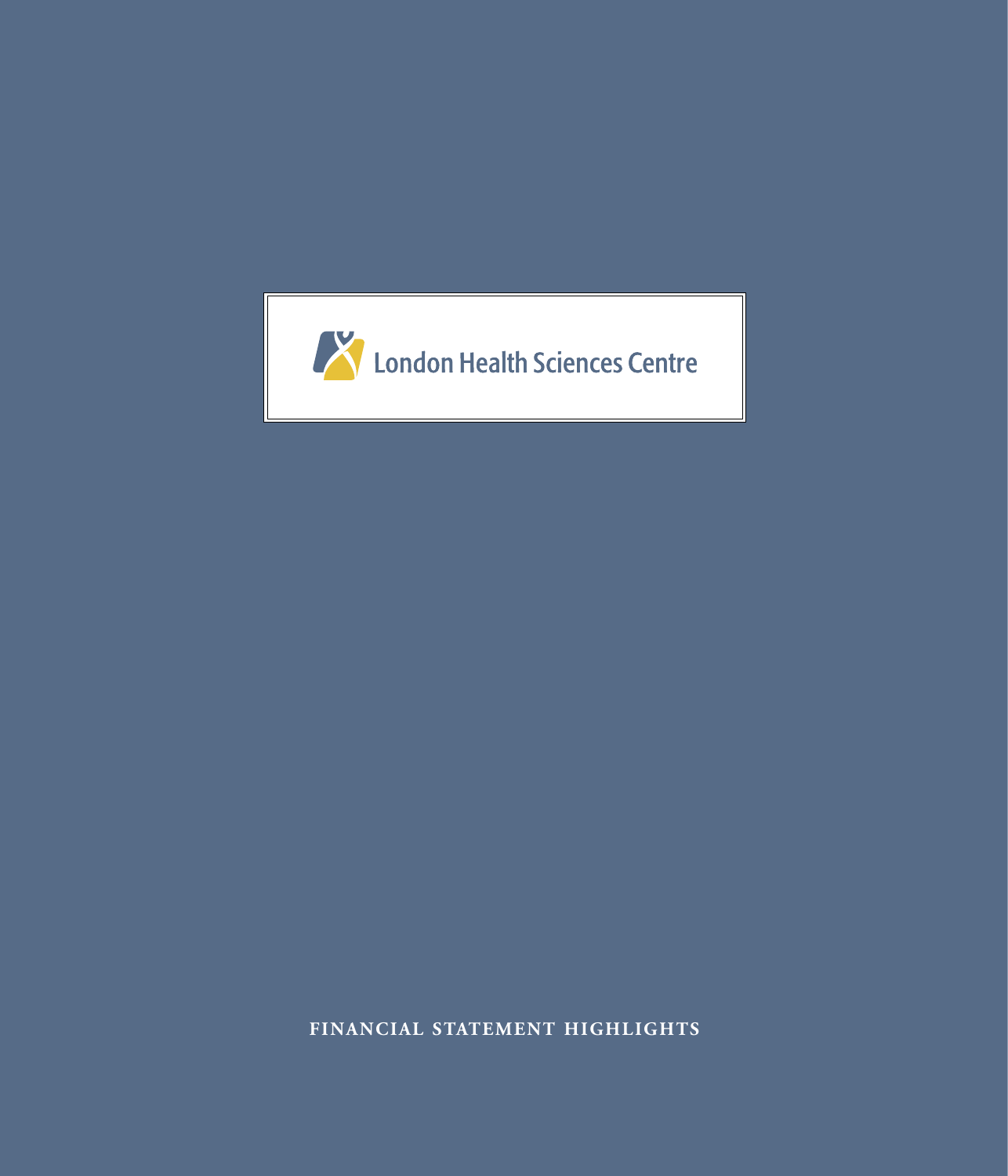

**FINANCIAL STATEMENT HIGHLIGHTS**